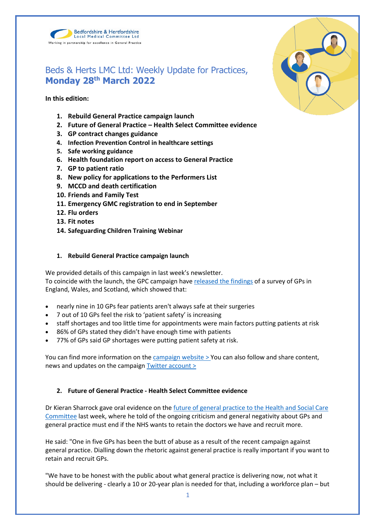



# Beds & Herts LMC Ltd: Weekly Update for Practices, **Monday 28th March 2022**

**In this edition:**

- **1. Rebuild General Practice campaign launch**
- **2. Future of General Practice – Health Select Committee evidence**
- **3. GP contract changes guidance**
- **4. Infection Prevention Control in healthcare settings**
- **5. Safe working guidance**
- **6. Health foundation report on access to General Practice**
- **7. GP to patient ratio**
- **8. New policy for applications to the Performers List**
- **9. MCCD and death certification**
- **10. Friends and Family Test**
- **11. Emergency GMC registration to end in September**
- **12. Flu orders**
- **13. Fit notes**
- **14. Safeguarding Children Training Webinar**

#### **1. Rebuild General Practice campaign launch**

We provided details of this campaign in last week's newsletter. To coincide with the launch, the GPC campaign have [released the findings](https://bma-assets.s3.amazonaws.com/attachments/cl10w7qp3145pnzpda633c2xs-rgppressrelease-final-20220321.pdf) of a survey of GPs in England, Wales, and Scotland, which showed that:

- nearly nine in 10 GPs fear patients aren't always safe at their surgeries
- 7 out of 10 GPs feel the risk to 'patient safety' is increasing
- staff shortages and too little time for appointments were main factors putting patients at risk
- 86% of GPs stated they didn't have enough time with patients
- 77% of GPs said GP shortages were putting patient safety at risk.

You can find more information on the [campaign website >](https://rebuildgp.co.uk/) You can also follow and share content, news and updates on the campaign [Twitter account >](https://twitter.com/rebuildgp)

# **2. Future of General Practice - Health Select Committee evidence**

Dr Kieran Sharrock gave oral evidence on the [future of general practice to the Health and Social Care](https://parliamentlive.tv/event/index/2db75856-7af1-4c6c-8a81-1195325864a7?domain=parliamentlive.tv)  [Committee](https://parliamentlive.tv/event/index/2db75856-7af1-4c6c-8a81-1195325864a7?domain=parliamentlive.tv) last week, where he told of the ongoing criticism and general negativity about GPs and general practice must end if the NHS wants to retain the doctors we have and recruit more.

He said: "One in five GPs has been the butt of abuse as a result of the recent campaign against general practice. Dialling down the rhetoric against general practice is really important if you want to retain and recruit GPs.

"We have to be honest with the public about what general practice is delivering now, not what it should be delivering - clearly a 10 or 20-year plan is needed for that, including a workforce plan – but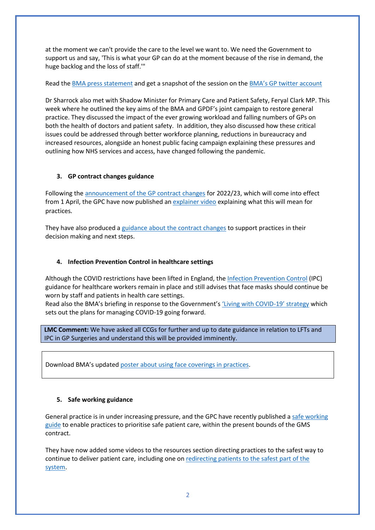at the moment we can't provide the care to the level we want to. We need the Government to support us and say, 'This is what your GP can do at the moment because of the rise in demand, the huge backlog and the loss of staff.'"

Read th[e BMA press statement](https://www.bma.org.uk/bma-media-centre/dial-down-the-negative-and-critical-commentary-against-gps-or-the-nhs-will-lose-even-more-doctors-bma-tells-health-select-committee) and get a snapshot of the session on the [BMA's GP twitter account](https://twitter.com/BMA_GP/status/1503765235374735362)

Dr Sharrock also met with Shadow Minister for Primary Care and Patient Safety, Feryal Clark MP. This week where he outlined the key aims of the BMA and GPDF's joint campaign to restore general practice. They discussed the impact of the ever growing workload and falling numbers of GPs on both the health of doctors and patient safety. In addition, they also discussed how these critical issues could be addressed through better workforce planning, reductions in bureaucracy and increased resources, alongside an honest public facing campaign explaining these pressures and outlining how NHS services and access, have changed following the pandemic.

# **3. GP contract changes guidance**

Following the [announcement of the GP contract changes](https://www.england.nhs.uk/publication/letter-general-practice-contract-arrangements-in-2022-23/) for 2022/23, which will come into effect from 1 April, the GPC have now published a[n explainer video](https://www.bma.org.uk/pay-and-contracts/contracts/gp-contract/gp-contract-changes-england-202223) explaining what this will mean for practices*.*

They have also produced [a guidance about the contract changes](https://www.bma.org.uk/pay-and-contracts/contracts/gp-contract/gp-contract-changes-england-202223) to support practices in their decision making and next steps.

# **4. Infection Prevention Control in healthcare settings**

Although the COVID restrictions have been lifted in England, the [Infection Prevention Control](https://www.gov.uk/government/publications/wuhan-novel-coronavirus-infection-prevention-and-control) (IPC) guidance for healthcare workers remain in place and still advises that face masks should continue be worn by staff and patients in health care settings.

Read also the BMA's briefing in response to the Government'[s 'Living with COVID](https://assets.publishing.service.gov.uk/government/uploads/system/uploads/attachment_data/file/1056229/COVID-19_Response_-_Living_with_COVID-19.pdf)-19' strategy which sets out the plans for managing COVID-19 going forward.

**LMC Comment:** We have asked all CCGs for further and up to date guidance in relation to LFTs and IPC in GP Surgeries and understand this will be provided imminently.

Download BMA's update[d poster about using face coverings in practices.](https://www.bma.org.uk/media/5321/bma-visiting-your-gp-poster-mar2022.pdf)

# **5. Safe working guidance**

General practice is in under increasing pressure, and the GPC have recently published [a safe working](https://www.bma.org.uk/advice-and-support/gp-practices/managing-workload/safe-working-in-general-practice)  [guide](https://www.bma.org.uk/advice-and-support/gp-practices/managing-workload/safe-working-in-general-practice) to enable practices to prioritise safe patient care, within the present bounds of the GMS contract.

They have now added some videos to the resources section directing practices to the safest way to continue to deliver patient care, including one on [redirecting patients to the safest part of the](https://www.youtube.com/watch?v=FMTLvPJE064)  [system.](https://www.youtube.com/watch?v=FMTLvPJE064)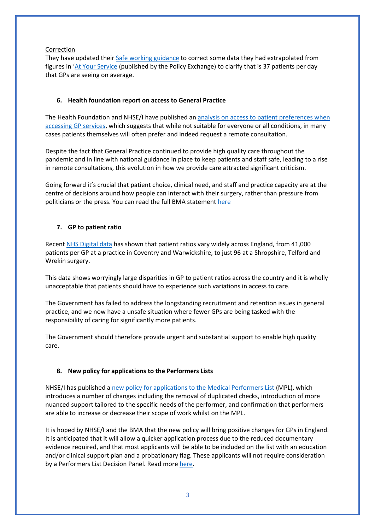#### Correction

They have updated their Safe [working guidance](https://protect-eu.mimecast.com/s/rhfvC2WMMcpzNPRFMkAwY?domain=bma.org.uk) to correct some data they had extrapolated from figures in '[At Your Service](https://protect-eu.mimecast.com/s/qLzqCWqVVi5mARPI6Bm5o?domain=policyexchange.org.uk) (published by the Policy Exchange) to clarify that is 37 patients per day that GPs are seeing on average.

# **6. Health foundation report on access to General Practice**

The Health Foundation and NHSE/I have published an analysis on access to patient preferences when [accessing GP services,](https://www.health.org.uk/publications/access-to-and-delivery-of-general-practice-services) which suggests that while not suitable for everyone or all conditions, in many cases patients themselves will often prefer and indeed request a remote consultation.

Despite the fact that General Practice continued to provide high quality care throughout the pandemic and in line with national guidance in place to keep patients and staff safe, leading to a rise in remote consultations, this evolution in how we provide care attracted significant criticism.

Going forward it's crucial that patient choice, clinical need, and staff and practice capacity are at the centre of decisions around how people can interact with their surgery, rather than pressure from politicians or the press. You can read the full BMA statement [here](https://www.bma.org.uk/bma-media-centre/health-foundation-analysis-on-gp-appointment-preferences-highlights-the-importance-of-patient-choice-clinical-need-and-capacity-says-bma)

# **7. GP to patient ratio**

Recen[t NHS Digital data](https://digital.nhs.uk/data-and-information/publications/statistical/patients-registered-at-a-gp-practice) has shown that patient ratios vary widely across England, from 41,000 patients per GP at a practice in Coventry and Warwickshire, to just 96 at a Shropshire, Telford and Wrekin surgery.

This data shows worryingly large disparities in GP to patient ratios across the country and it is wholly unacceptable that patients should have to experience such variations in access to care.

The Government has failed to address the longstanding recruitment and retention issues in general practice, and we now have a unsafe situation where fewer GPs are being tasked with the responsibility of caring for significantly more patients.

The Government should therefore provide urgent and substantial support to enable high quality care.

# **8. New policy for applications to the Performers Lists**

NHSE/I has published [a new policy for applications to the Medical Performers List](https://www.england.nhs.uk/publication/policy-for-managing-applications-to-join-the-england-performers-lists/) (MPL), which introduces a number of changes including the removal of duplicated checks, introduction of more nuanced support tailored to the specific needs of the performer, and confirmation that performers are able to increase or decrease their scope of work whilst on the MPL.

It is hoped by NHSE/I and the BMA that the new policy will bring positive changes for GPs in England. It is anticipated that it will allow a quicker application process due to the reduced documentary evidence required, and that most applicants will be able to be included on the list with an education and/or clinical support plan and a probationary flag. These applicants will not require consideration by a Performers List Decision Panel. Read more [here.](https://www.england.nhs.uk/publication/policy-for-managing-applications-to-join-the-england-performers-lists/)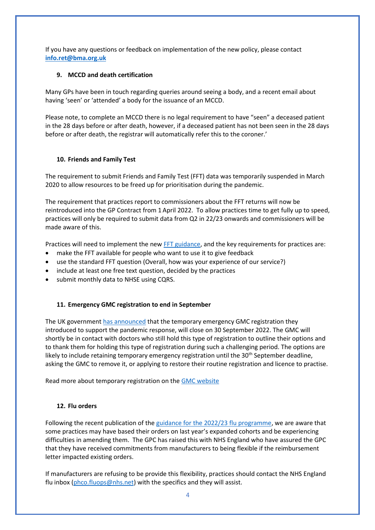If you have any questions or feedback on implementation of the new policy, please contact **[info.ret@bma.org.uk](mailto:info.ret@bma.org.uk)**

#### **9. MCCD and death certification**

Many GPs have been in touch regarding queries around seeing a body, and a recent email about having 'seen' or 'attended' a body for the issuance of an MCCD.

Please note, to complete an MCCD there is no legal requirement to have "seen" a deceased patient in the 28 days before or after death, however, if a deceased patient has not been seen in the 28 days before or after death, the registrar will automatically refer this to the coroner.'

#### **10. Friends and Family Test**

The requirement to submit Friends and Family Test (FFT) data was temporarily suspended in March 2020 to allow resources to be freed up for prioritisation during the pandemic.

The requirement that practices report to commissioners about the FFT returns will now be reintroduced into the GP Contract from 1 April 2022. To allow practices time to get fully up to speed, practices will only be required to submit data from Q2 in 22/23 onwards and commissioners will be made aware of this.

Practices will need to implement the new [FFT guidance,](https://www.england.nhs.uk/wp-content/uploads/2019/09/using-the-fft-to-improve-patient-experience-guidance-v2.pdf) and the key requirements for practices are:

- make the FFT available for people who want to use it to give feedback
- use the standard FFT question (Overall, how was your experience of our service?)
- include at least one free text question, decided by the practices
- submit monthly data to NHSE using CQRS.

# **11. Emergency GMC registration to end in September**

The UK governmen[t has announced](https://questions-statements.parliament.uk/written-statements/detail/2022-03-16/hlws672) that the temporary emergency GMC registration they introduced to support the pandemic response, will close on 30 September 2022. The GMC will shortly be in contact with doctors who still hold this type of registration to outline their options and to thank them for holding this type of registration during such a challenging period. The options are likely to include retaining temporary emergency registration until the  $30<sup>th</sup>$  September deadline, asking the GMC to remove it, or applying to restore their routine registration and licence to practise.

Read more about temporary registration on the [GMC website](https://protect-eu.mimecast.com/s/bA9BCLJEEiRn6P1hqxvLq?domain=gmc-uk.org)

#### **12. Flu orders**

Following the recent publication of the [guidance for the 2022/23 flu programme,](https://www.england.nhs.uk/wp-content/uploads/2019/12/B1395-reimbursable-vaccines-and-eligible-cohorts-22-23-flu-vaccination-programme-guidance-march-2022.pdf) we are aware that some practices may have based their orders on last year's expanded cohorts and be experiencing difficulties in amending them. The GPC has raised this with NHS England who have assured the GPC that they have received commitments from manufacturers to being flexible if the reimbursement letter impacted existing orders.

If manufacturers are refusing to be provide this flexibility, practices should contact the NHS England flu inbox [\(phco.fluops@nhs.net\)](mailto:phco.fluops@nhs.net) with the specifics and they will assist.